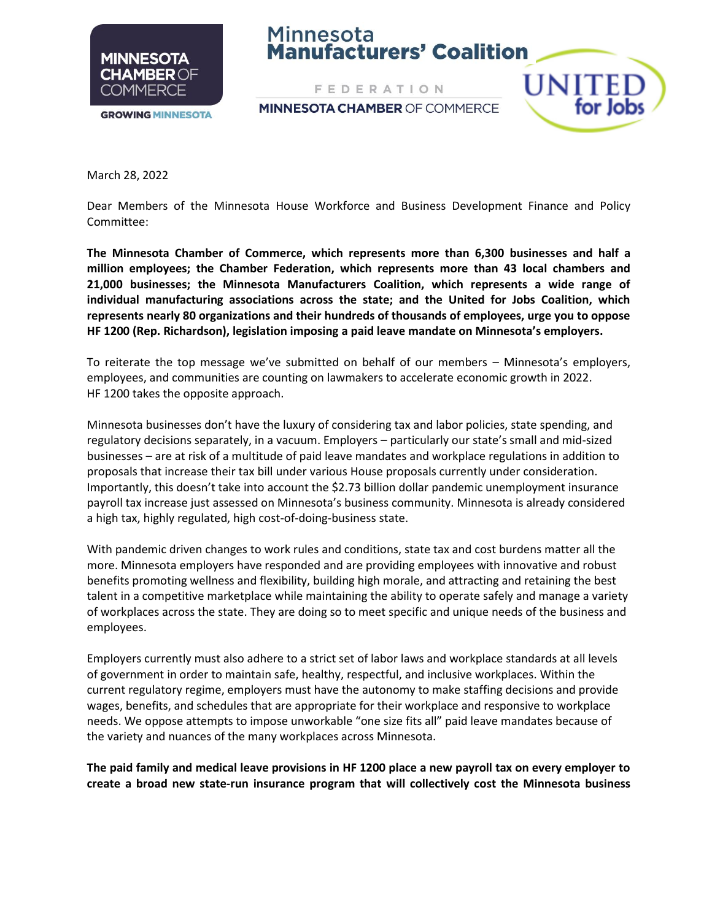

## Minnesota **Manufacturers' Coalition**

UNITED<br>for Jobs

**FEDERATION MINNESOTA CHAMBER OF COMMERCE** 

March 28, 2022

Dear Members of the Minnesota House Workforce and Business Development Finance and Policy Committee:

**The Minnesota Chamber of Commerce, which represents more than 6,300 businesses and half a million employees; the Chamber Federation, which represents more than 43 local chambers and 21,000 businesses; the Minnesota Manufacturers Coalition, which represents a wide range of individual manufacturing associations across the state; and the United for Jobs Coalition, which represents nearly 80 organizations and their hundreds of thousands of employees, urge you to oppose HF 1200 (Rep. Richardson), legislation imposing a paid leave mandate on Minnesota's employers.** 

To reiterate the top message we've submitted on behalf of our members – Minnesota's employers, employees, and communities are counting on lawmakers to accelerate economic growth in 2022. HF 1200 takes the opposite approach.

Minnesota businesses don't have the luxury of considering tax and labor policies, state spending, and regulatory decisions separately, in a vacuum. Employers – particularly our state's small and mid-sized businesses – are at risk of a multitude of paid leave mandates and workplace regulations in addition to proposals that increase their tax bill under various House proposals currently under consideration. Importantly, this doesn't take into account the \$2.73 billion dollar pandemic unemployment insurance payroll tax increase just assessed on Minnesota's business community. Minnesota is already considered a high tax, highly regulated, high cost-of-doing-business state.

With pandemic driven changes to work rules and conditions, state tax and cost burdens matter all the more. Minnesota employers have responded and are providing employees with innovative and robust benefits promoting wellness and flexibility, building high morale, and attracting and retaining the best talent in a competitive marketplace while maintaining the ability to operate safely and manage a variety of workplaces across the state. They are doing so to meet specific and unique needs of the business and employees.

Employers currently must also adhere to a strict set of labor laws and workplace standards at all levels of government in order to maintain safe, healthy, respectful, and inclusive workplaces. Within the current regulatory regime, employers must have the autonomy to make staffing decisions and provide wages, benefits, and schedules that are appropriate for their workplace and responsive to workplace needs. We oppose attempts to impose unworkable "one size fits all" paid leave mandates because of the variety and nuances of the many workplaces across Minnesota.

**The paid family and medical leave provisions in HF 1200 place a new payroll tax on every employer to create a broad new state-run insurance program that will collectively cost the Minnesota business**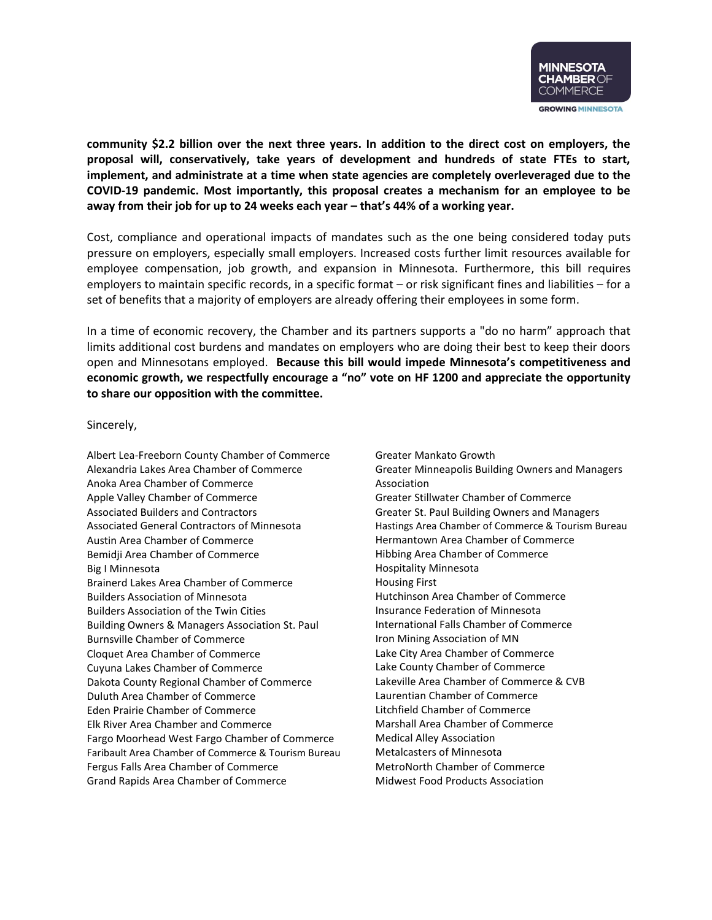

**community \$2.2 billion over the next three years. In addition to the direct cost on employers, the proposal will, conservatively, take years of development and hundreds of state FTEs to start, implement, and administrate at a time when state agencies are completely overleveraged due to the COVID-19 pandemic. Most importantly, this proposal creates a mechanism for an employee to be away from their job for up to 24 weeks each year – that's 44% of a working year.** 

Cost, compliance and operational impacts of mandates such as the one being considered today puts pressure on employers, especially small employers. Increased costs further limit resources available for employee compensation, job growth, and expansion in Minnesota. Furthermore, this bill requires employers to maintain specific records, in a specific format – or risk significant fines and liabilities – for a set of benefits that a majority of employers are already offering their employees in some form.

In a time of economic recovery, the Chamber and its partners supports a "do no harm" approach that limits additional cost burdens and mandates on employers who are doing their best to keep their doors open and Minnesotans employed. **Because this bill would impede Minnesota's competitiveness and economic growth, we respectfully encourage a "no" vote on HF 1200 and appreciate the opportunity to share our opposition with the committee.**

Sincerely,

Albert Lea-Freeborn County Chamber of Commerce Alexandria Lakes Area Chamber of Commerce Anoka Area Chamber of Commerce Apple Valley Chamber of Commerce Associated Builders and Contractors Associated General Contractors of Minnesota Austin Area Chamber of Commerce Bemidji Area Chamber of Commerce Big I Minnesota Brainerd Lakes Area Chamber of Commerce Builders Association of Minnesota Builders Association of the Twin Cities Building Owners & Managers Association St. Paul Burnsville Chamber of Commerce Cloquet Area Chamber of Commerce Cuyuna Lakes Chamber of Commerce Dakota County Regional Chamber of Commerce Duluth Area Chamber of Commerce Eden Prairie Chamber of Commerce Elk River Area Chamber and Commerce Fargo Moorhead West Fargo Chamber of Commerce Faribault Area Chamber of Commerce & Tourism Bureau Fergus Falls Area Chamber of Commerce Grand Rapids Area Chamber of Commerce

Greater Mankato Growth Greater Minneapolis Building Owners and Managers Association Greater Stillwater Chamber of Commerce Greater St. Paul Building Owners and Managers Hastings Area Chamber of Commerce & Tourism Bureau Hermantown Area Chamber of Commerce Hibbing Area Chamber of Commerce Hospitality Minnesota Housing First Hutchinson Area Chamber of Commerce Insurance Federation of Minnesota International Falls Chamber of Commerce Iron Mining Association of MN Lake City Area Chamber of Commerce Lake County Chamber of Commerce Lakeville Area Chamber of Commerce & CVB Laurentian Chamber of Commerce Litchfield Chamber of Commerce Marshall Area Chamber of Commerce Medical Alley Association Metalcasters of Minnesota MetroNorth Chamber of Commerce Midwest Food Products Association